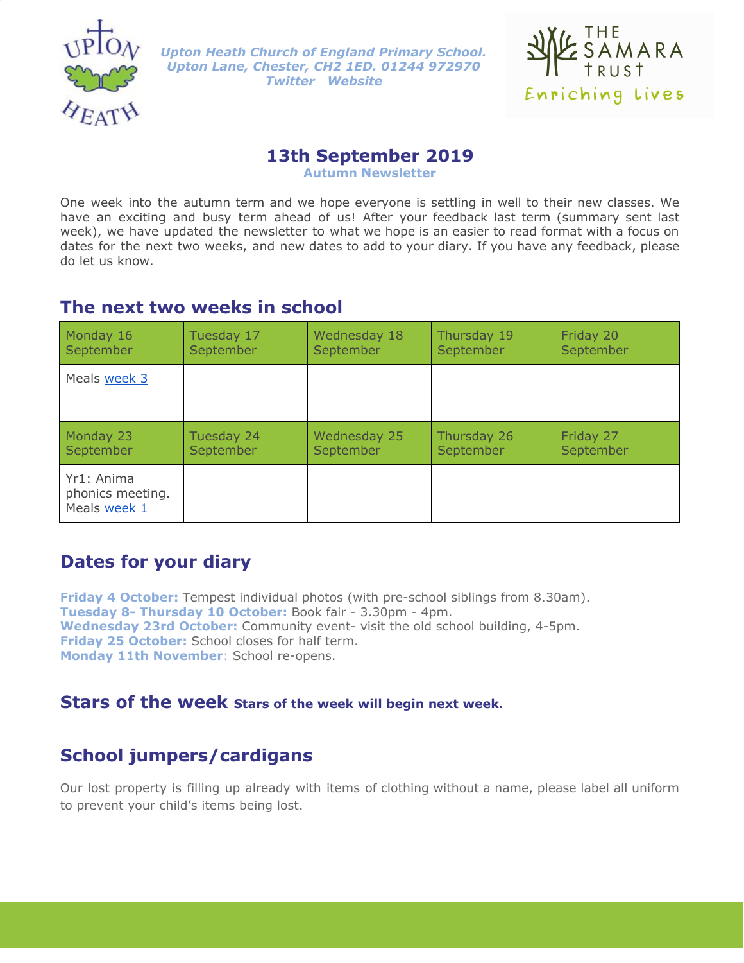

*Upton Heath Church of England Primary School. Upton Lane, Chester, CH2 1ED. 01244 972970 [Twitter](https://twitter.com/UptonHeathCE) [Website](http://www.uptonheath.cheshire.sch.uk/)*



#### **13th September 2019**

**Autumn Newsletter**

One week into the autumn term and we hope everyone is settling in well to their new classes. We have an exciting and busy term ahead of us! After your feedback last term (summary sent last week), we have updated the newsletter to what we hope is an easier to read format with a focus on dates for the next two weeks, and new dates to add to your diary. If you have any feedback, please do let us know.

# **The next two weeks in school**

| Monday 16                                      | Tuesday 17 | Wednesday 18 | Thursday 19 | Friday 20 |
|------------------------------------------------|------------|--------------|-------------|-----------|
| September                                      | September  | September    | September   | September |
| Meals week 3                                   |            |              |             |           |
| Monday 23                                      | Tuesday 24 | Wednesday 25 | Thursday 26 | Friday 27 |
| September                                      | September  | September    | September   | September |
| Yr1: Anima<br>phonics meeting.<br>Meals week 1 |            |              |             |           |

# **Dates for your diary**

**Friday 4 October:** Tempest individual photos (with pre-school siblings from 8.30am). **Tuesday 8- Thursday 10 October:** Book fair - 3.30pm - 4pm. **Wednesday 23rd October:** Community event- visit the old school building, 4-5pm. **Friday 25 October:** School closes for half term. **Monday 11th November**: School re-opens.

# **Stars of the week Stars of the week will begin next week.**

# **School jumpers/cardigans**

Our lost property is filling up already with items of clothing without a name, please label all uniform to prevent your child's items being lost.